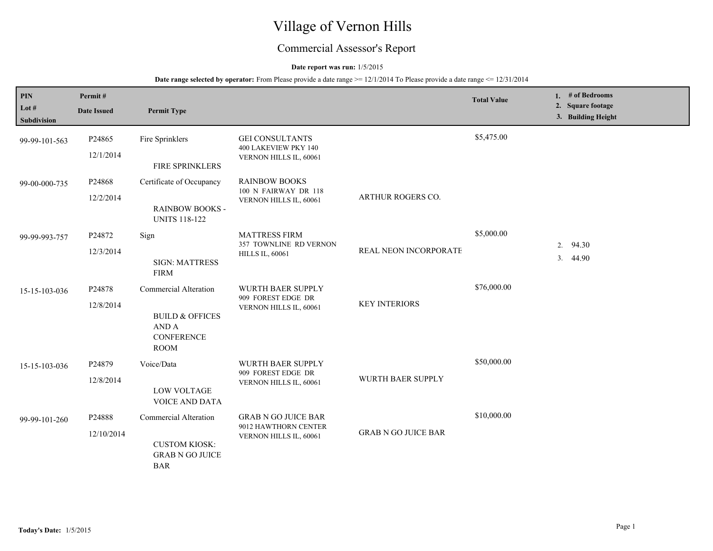# Village of Vernon Hills

## Commercial Assessor's Report

#### **Date report was run:** 1/5/2015

#### **Date range selected by operator:** From Please provide a date range  $\ge$  = 12/1/2014 To Please provide a date range  $\le$  12/31/2014

| PIN<br>Lot $#$<br>Subdivision | Permit#<br><b>Date Issued</b> | <b>Permit Type</b>                                                                               |                                                                              |                            | <b>Total Value</b> |          | 1. # of Bedrooms<br>2. Square footage<br>3. Building Height |
|-------------------------------|-------------------------------|--------------------------------------------------------------------------------------------------|------------------------------------------------------------------------------|----------------------------|--------------------|----------|-------------------------------------------------------------|
| 99-99-101-563                 | P24865<br>12/1/2014           | Fire Sprinklers<br>FIRE SPRINKLERS                                                               | <b>GEI CONSULTANTS</b><br>400 LAKEVIEW PKY 140<br>VERNON HILLS IL, 60061     |                            | \$5,475.00         |          |                                                             |
| 99-00-000-735                 | P24868<br>12/2/2014           | Certificate of Occupancy<br><b>RAINBOW BOOKS -</b><br><b>UNITS 118-122</b>                       | <b>RAINBOW BOOKS</b><br>100 N FAIRWAY DR 118<br>VERNON HILLS IL, 60061       | ARTHUR ROGERS CO.          |                    |          |                                                             |
| 99-99-993-757                 | P24872<br>12/3/2014           | Sign<br><b>SIGN: MATTRESS</b><br><b>FIRM</b>                                                     | <b>MATTRESS FIRM</b><br>357 TOWNLINE RD VERNON<br><b>HILLS IL, 60061</b>     | REAL NEON INCORPORATE      | \$5,000.00         | 2.<br>3. | 94.30<br>44.90                                              |
| 15-15-103-036                 | P24878<br>12/8/2014           | Commercial Alteration<br><b>BUILD &amp; OFFICES</b><br>AND A<br><b>CONFERENCE</b><br><b>ROOM</b> | WURTH BAER SUPPLY<br>909 FOREST EDGE DR<br>VERNON HILLS IL, 60061            | <b>KEY INTERIORS</b>       | \$76,000.00        |          |                                                             |
| 15-15-103-036                 | P24879<br>12/8/2014           | Voice/Data<br><b>LOW VOLTAGE</b><br><b>VOICE AND DATA</b>                                        | <b>WURTH BAER SUPPLY</b><br>909 FOREST EDGE DR<br>VERNON HILLS IL, 60061     | WURTH BAER SUPPLY          | \$50,000.00        |          |                                                             |
| 99-99-101-260                 | P24888<br>12/10/2014          | Commercial Alteration<br><b>CUSTOM KIOSK:</b><br><b>GRAB N GO JUICE</b><br><b>BAR</b>            | <b>GRAB N GO JUICE BAR</b><br>9012 HAWTHORN CENTER<br>VERNON HILLS IL, 60061 | <b>GRAB N GO JUICE BAR</b> | \$10,000.00        |          |                                                             |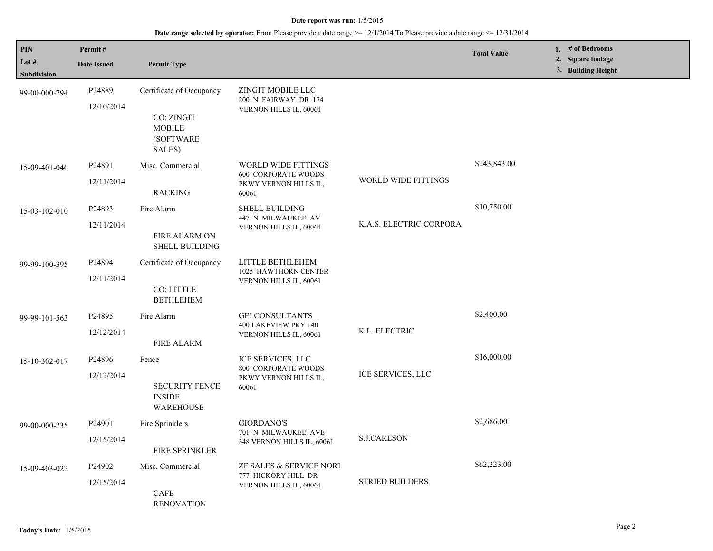#### **Date report was run:** 1/5/2015

## **Date range selected by operator:** From Please provide a date range >= 12/1/2014 To Please provide a date range <= 12/31/2014

| PIN<br>Lot $#$<br><b>Subdivision</b> | Permit#<br><b>Date Issued</b> | <b>Permit Type</b>                                                             |                                                                                     |                         | <b>Total Value</b> | 1. # of Bedrooms<br>2. Square footage<br>3. Building Height |  |
|--------------------------------------|-------------------------------|--------------------------------------------------------------------------------|-------------------------------------------------------------------------------------|-------------------------|--------------------|-------------------------------------------------------------|--|
| 99-00-000-794                        | P24889<br>12/10/2014          | Certificate of Occupancy<br>CO: ZINGIT<br><b>MOBILE</b><br>(SOFTWARE<br>SALES) | ZINGIT MOBILE LLC<br>200 N FAIRWAY DR 174<br>VERNON HILLS IL, 60061                 |                         |                    |                                                             |  |
| 15-09-401-046                        | P24891<br>12/11/2014          | Misc. Commercial<br><b>RACKING</b>                                             | WORLD WIDE FITTINGS<br><b>600 CORPORATE WOODS</b><br>PKWY VERNON HILLS IL,<br>60061 | WORLD WIDE FITTINGS     | \$243,843.00       |                                                             |  |
| 15-03-102-010                        | P24893<br>12/11/2014          | Fire Alarm<br>FIRE ALARM ON<br><b>SHELL BUILDING</b>                           | <b>SHELL BUILDING</b><br>447 N MILWAUKEE AV<br>VERNON HILLS IL, 60061               | K.A.S. ELECTRIC CORPORA | \$10,750.00        |                                                             |  |
| 99-99-100-395                        | P24894<br>12/11/2014          | Certificate of Occupancy<br>CO: LITTLE<br><b>BETHLEHEM</b>                     | LITTLE BETHLEHEM<br>1025 HAWTHORN CENTER<br>VERNON HILLS IL, 60061                  |                         |                    |                                                             |  |
| 99-99-101-563                        | P24895<br>12/12/2014          | Fire Alarm<br><b>FIRE ALARM</b>                                                | <b>GEI CONSULTANTS</b><br>400 LAKEVIEW PKY 140<br>VERNON HILLS IL, 60061            | K.L. ELECTRIC           | \$2,400.00         |                                                             |  |
| 15-10-302-017                        | P24896<br>12/12/2014          | Fence<br><b>SECURITY FENCE</b><br><b>INSIDE</b><br>WAREHOUSE                   | ICE SERVICES, LLC<br>800 CORPORATE WOODS<br>PKWY VERNON HILLS IL,<br>60061          | ICE SERVICES, LLC       | \$16,000.00        |                                                             |  |
| 99-00-000-235                        | P24901<br>12/15/2014          | Fire Sprinklers<br><b>FIRE SPRINKLER</b>                                       | <b>GIORDANO'S</b><br>701 N MILWAUKEE AVE<br>348 VERNON HILLS IL, 60061              | <b>S.J.CARLSON</b>      | \$2,686.00         |                                                             |  |
| 15-09-403-022                        | P24902<br>12/15/2014          | Misc. Commercial<br><b>CAFE</b><br><b>RENOVATION</b>                           | ZF SALES & SERVICE NORT<br>777 HICKORY HILL DR<br>VERNON HILLS IL, 60061            | <b>STRIED BUILDERS</b>  | \$62,223.00        |                                                             |  |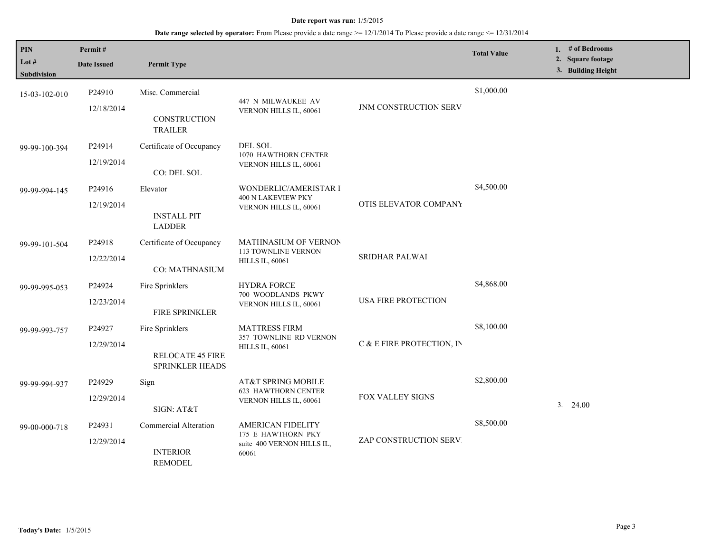#### **Date report was run:** 1/5/2015

## **Date range selected by operator:** From Please provide a date range >= 12/1/2014 To Please provide a date range <= 12/31/2014

| <b>PIN</b><br>Lot $#$<br><b>Subdivision</b> | Permit#<br><b>Date Issued</b> | <b>Permit Type</b>                                            |                                                                                       |                              | <b>Total Value</b> | 1. # of Bedrooms<br>2. Square footage<br>3. Building Height |
|---------------------------------------------|-------------------------------|---------------------------------------------------------------|---------------------------------------------------------------------------------------|------------------------------|--------------------|-------------------------------------------------------------|
| 15-03-102-010                               | P24910<br>12/18/2014          | Misc. Commercial<br>CONSTRUCTION<br><b>TRAILER</b>            | 447 N MILWAUKEE AV<br>VERNON HILLS IL, 60061                                          | <b>JNM CONSTRUCTION SERV</b> | \$1,000.00         |                                                             |
| 99-99-100-394                               | P24914<br>12/19/2014          | Certificate of Occupancy<br>CO: DEL SOL                       | DEL SOL<br>1070 HAWTHORN CENTER<br>VERNON HILLS IL, 60061                             |                              |                    |                                                             |
| 99-99-994-145                               | P24916<br>12/19/2014          | Elevator<br><b>INSTALL PIT</b><br><b>LADDER</b>               | WONDERLIC/AMERISTAR I<br>400 N LAKEVIEW PKY<br>VERNON HILLS IL, 60061                 | OTIS ELEVATOR COMPANY        | \$4,500.00         |                                                             |
| 99-99-101-504                               | P24918<br>12/22/2014          | Certificate of Occupancy<br>CO: MATHNASIUM                    | <b>MATHNASIUM OF VERNON</b><br><b>113 TOWNLINE VERNON</b><br><b>HILLS IL, 60061</b>   | <b>SRIDHAR PALWAI</b>        |                    |                                                             |
| 99-99-995-053                               | P24924<br>12/23/2014          | Fire Sprinklers<br><b>FIRE SPRINKLER</b>                      | <b>HYDRA FORCE</b><br>700 WOODLANDS PKWY<br>VERNON HILLS IL, 60061                    | USA FIRE PROTECTION          | \$4,868.00         |                                                             |
| 99-99-993-757                               | P24927<br>12/29/2014          | Fire Sprinklers<br><b>RELOCATE 45 FIRE</b><br>SPRINKLER HEADS | <b>MATTRESS FIRM</b><br>357 TOWNLINE RD VERNON<br><b>HILLS IL, 60061</b>              | C & E FIRE PROTECTION, IN    | \$8,100.00         |                                                             |
| 99-99-994-937                               | P24929<br>12/29/2014          | Sign<br>SIGN: AT&T                                            | AT&T SPRING MOBILE<br><b>623 HAWTHORN CENTER</b><br>VERNON HILLS IL, 60061            | FOX VALLEY SIGNS             | \$2,800.00         | $3. \quad 24.00$                                            |
| 99-00-000-718                               | P24931<br>12/29/2014          | Commercial Alteration<br><b>INTERIOR</b><br><b>REMODEL</b>    | <b>AMERICAN FIDELITY</b><br>175 E HAWTHORN PKY<br>suite 400 VERNON HILLS IL,<br>60061 | ZAP CONSTRUCTION SERV.       | \$8,500.00         |                                                             |